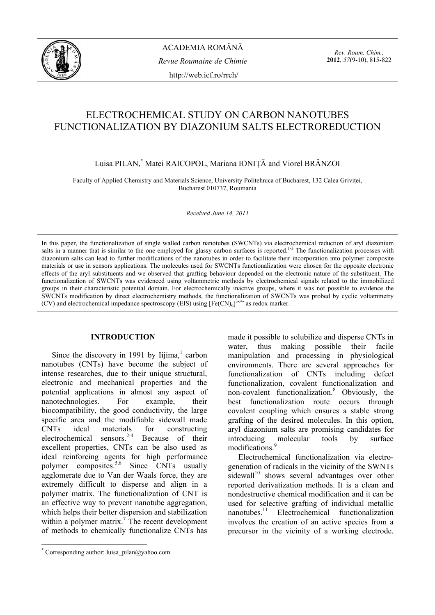

*Rev. Roum. Chim.,*  **2012**, *57*(9-10), 815-822

# ELECTROCHEMICAL STUDY ON CARBON NANOTUBES FUNCTIONALIZATION BY DIAZONIUM SALTS ELECTROREDUCTION

Luisa PILAN,\* Matei RAICOPOL, Mariana IONIŢĂ and Viorel BRÂNZOI

Faculty of Applied Chemistry and Materials Science, University Politehnica of Bucharest, 132 Calea Grivitei, Bucharest 010737, Roumania

*Received June 14, 2011* 

In this paper, the functionalization of single walled carbon nanotubes (SWCNTs) via electrochemical reduction of aryl diazonium salts in a manner that is similar to the one employed for glassy carbon surfaces is reported.<sup>1-3</sup> The functionalization processes with diazonium salts can lead to further modifications of the nanotubes in order to facilitate their incorporation into polymer composite materials or use in sensors applications. The molecules used for SWCNTs functionalization were chosen for the opposite electronic effects of the aryl substituents and we observed that grafting behaviour depended on the electronic nature of the substituent. The functionalization of SWCNTs was evidenced using voltammetric methods by electrochemical signals related to the immobilized groups in their characteristic potential domain. For electrochemically inactive groups, where it was not possible to evidence the SWCNTs modification by direct electrochemistry methods, the functionalization of SWCNTs was probed by cyclic voltammetry (CV) and electrochemical impedance spectroscopy (EIS) using  $[Fe(CN)_6]^{3/4}$  as redox marker.

# **INTRODUCTION\***

Since the discovery in 1991 by Iijima, $1$  carbon nanotubes (CNTs) have become the subject of intense researches, due to their unique structural, electronic and mechanical properties and the potential applications in almost any aspect of nanotechnologies. For example, their biocompatibility, the good conductivity, the large specific area and the modifiable sidewall made<br>CNTs ideal materials for constructing ideal materials for constructing electrochemical sensors.2-4 Because of their excellent properties, CNTs can be also used as ideal reinforcing agents for high performance polymer composites.<sup>5,6</sup> Since CNTs usually agglomerate due to Van der Waals force, they are extremely difficult to disperse and align in a polymer matrix. The functionalization of CNT is an effective way to prevent nanotube aggregation, which helps their better dispersion and stabilization within a polymer matrix.<sup>7</sup> The recent development of methods to chemically functionalize CNTs has

made it possible to solubilize and disperse CNTs in water, thus making possible their facile manipulation and processing in physiological environments. There are several approaches for functionalization of CNTs including defect functionalization, covalent functionalization and non-covalent functionalization.<sup>8</sup> Obviously, the best functionalization route occurs through covalent coupling which ensures a stable strong grafting of the desired molecules. In this option, aryl diazonium salts are promising candidates for introducing molecular tools by surface modifications.<sup>9</sup>

 Electrochemical functionalization via electrogeneration of radicals in the vicinity of the SWNTs  $s$ idewall<sup>10</sup> shows several advantages over other reported derivatization methods. It is a clean and nondestructive chemical modification and it can be used for selective grafting of individual metallic nanotubes.11 Electrochemical functionalization involves the creation of an active species from a precursor in the vicinity of a working electrode.

 \* Corresponding author: luisa\_pilan@yahoo.com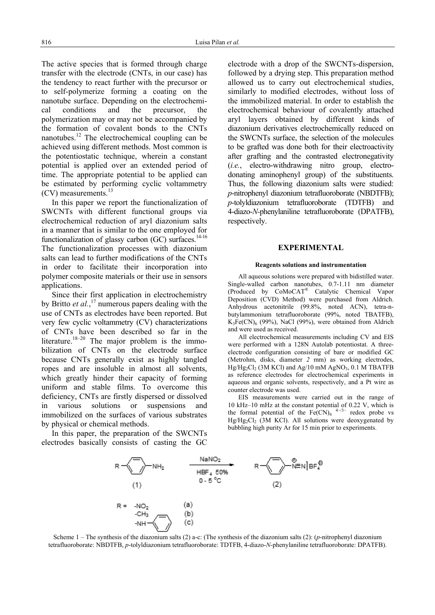The active species that is formed through charge transfer with the electrode (CNTs, in our case) has the tendency to react further with the precursor or to self-polymerize forming a coating on the nanotube surface. Depending on the electrochemical conditions and the precursor, the polymerization may or may not be accompanied by the formation of covalent bonds to the CNTs nanotubes.12 The electrochemical coupling can be achieved using different methods. Most common is the potentiostatic technique, wherein a constant potential is applied over an extended period of time. The appropriate potential to be applied can be estimated by performing cyclic voltammetry (CV) measurements.<sup>13</sup>

 In this paper we report the functionalization of SWCNTs with different functional groups via electrochemical reduction of aryl diazonium salts in a manner that is similar to the one employed for functionalization of glassy carbon  $(GC)$  surfaces.<sup>14-16</sup> The functionalization processes with diazonium salts can lead to further modifications of the CNTs in order to facilitate their incorporation into polymer composite materials or their use in sensors applications.

 Since their first application in electrochemistry by Britto *et al.*, 17 numerous papers dealing with the use of CNTs as electrodes have been reported. But very few cyclic voltammetry (CV) characterizations of CNTs have been described so far in the literature.<sup>18–20</sup> The major problem is the immobilization of CNTs on the electrode surface because CNTs generally exist as highly tangled ropes and are insoluble in almost all solvents, which greatly hinder their capacity of forming uniform and stable films. To overcome this deficiency, CNTs are firstly dispersed or dissolved in various solutions or suspensions and immobilized on the surfaces of various substrates by physical or chemical methods.

 In this paper, the preparation of the SWCNTs electrodes basically consists of casting the GC electrode with a drop of the SWCNTs-dispersion, followed by a drying step. This preparation method allowed us to carry out electrochemical studies, similarly to modified electrodes, without loss of the immobilized material. In order to establish the electrochemical behaviour of covalently attached aryl layers obtained by different kinds of diazonium derivatives electrochemically reduced on the SWCNTs surface, the selection of the molecules to be grafted was done both for their electroactivity after grafting and the contrasted electronegativity (*i.e.*, electro-withdrawing nitro group, electrodonating aminophenyl group) of the substituents. Thus, the following diazonium salts were studied: *p*-nitrophenyl diazonium tetrafluoroborate (NBDTFB); *p*-tolyldiazonium tetrafluoroborate (TDTFB) and 4-diazo-*N-*phenylaniline tetrafluoroborate (DPATFB), respectively.

### **EXPERIMENTAL**

#### **Reagents solutions and instrumentation**

 All aqueous solutions were prepared with bidistilled water. Single-walled carbon nanotubes, 0.7-1.11 nm diameter (Produced by CoMoCAT® Catalytic Chemical Vapor Deposition (CVD) Method) were purchased from Aldrich. Anhydrous acetonitrile (99.8%, noted ACN), tetra-nbutylammonium tetrafluoroborate (99%, noted TBATFB),  $K_3Fe(CN)_6$  (99%), NaCl (99%), were obtained from Aldrich and were used as received.

 All electrochemical measurements including CV and EIS were performed with a 128N Autolab potentiostat. A threeelectrode configuration consisting of bare or modified GC (Metrohm, disks, diameter *2* mm) as working electrodes,  $Hg/Hg_2Cl_2$  (3M KCl) and Ag/10 mM AgNO<sub>3</sub>, 0.1 M TBATFB as reference electrodes for electrochemical experiments in aqueous and organic solvents, respectively, and a Pt wire as counter electrode was used.

 EIS measurements were carried out in the range of 10 kHz–10 mHz at the constant potential of 0.22 V, which is the formal potential of the Fe(CN)<sub>6</sub>  $4^{-/3-}$  redox probe vs  $Hg/Hg_2Cl_2$  (3M KCl). All solutions were deoxygenated by bubbling high purity Ar for 15 min prior to experiments.



Scheme 1 – The synthesis of the diazonium salts (2) a-c: (The synthesis of the diazonium salts (2): (*p*-nitrophenyl diazonium tetrafluoroborate: NBDTFB, *p*-tolyldiazonium tetrafluoroborate: TDTFB, 4-diazo-*N-*phenylaniline tetrafluoroborate: DPATFB).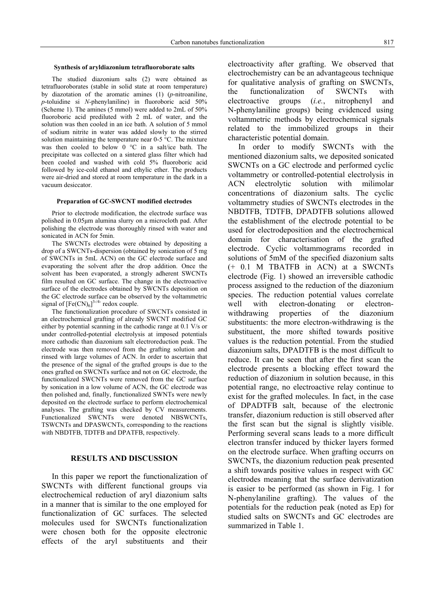## **Synthesis of aryldiazonium tetrafluoroborate salts**

 The studied diazonium salts (2) were obtained as tetrafluoroborates (stable in solid state at room temperature) by diazotation of the aromatic amines (1) (*p*-nitroaniline, *p*-toluidine si *N-*phenylaniline) in fluoroboric acid 50% (Scheme 1). The amines (5 mmol) were added to 2mL of 50% fluoroboric acid prediluted with 2 mL of water, and the solution was then cooled in an ice bath. A solution of 5 mmol of sodium nitrite in water was added slowly to the stirred solution maintaining the temperature near 0-5 °C. The mixture was then cooled to below 0 °C in a salt/ice bath. The precipitate was collected on a sintered glass filter which had been cooled and washed with cold 5% fluoroboric acid followed by ice-cold ethanol and ethylic ether. The products were air-dried and stored at room temperature in the dark in a vacuum desiccator.

#### **Preparation of GC-SWCNT modified electrodes**

 Prior to electrode modification, the electrode surface was polished in 0.05µm alumina slurry on a microcloth pad. After polishing the electrode was thoroughly rinsed with water and sonicated in ACN for 5min.

 The SWCNTs electrodes were obtained by depositing a drop of a SWCNTs-dispersion (obtained by sonication of 5 mg of SWCNTs in 5mL ACN) on the GC electrode surface and evaporating the solvent after the drop addition. Once the solvent has been evaporated, a strongly adherent SWCNTs film resulted on GC surface. The change in the electroactive surface of the electrodes obtained by SWCNTs deposition on the GC electrode surface can be observed by the voltammetric signal of  $[Fe(CN)_6]^{3/4}$  redox couple.

 The functionalization procedure of SWCNTs consisted in an electrochemical grafting of already SWCNT modified GC either by potential scanning in the cathodic range at 0.1 V/s or under controlled-potential electrolysis at imposed potentials more cathodic than diazonium salt electroreduction peak. The electrode was then removed from the grafting solution and rinsed with large volumes of ACN. In order to ascertain that the presence of the signal of the grafted groups is due to the ones grafted on SWCNTs surface and not on GC electrode, the functionalized SWCNTs were removed from the GC surface by sonication in a low volume of ACN, the GC electrode was then polished and, finally, functionalized SWNTs were newly deposited on the electrode surface to perform electrochemical analyses. The grafting was checked by CV measurements. Functionalized SWCNTs were denoted NBSWCNTs, TSWCNTs and DPASWCNTs, corresponding to the reactions with NBDTFB, TDTFB and DPATFB, respectively.

# **RESULTS AND DISCUSSION**

 In this paper we report the functionalization of SWCNTs with different functional groups via electrochemical reduction of aryl diazonium salts in a manner that is similar to the one employed for functionalization of GC surfaces. The selected molecules used for SWCNTs functionalization were chosen both for the opposite electronic effects of the aryl substituents and their

electroactivity after grafting. We observed that electrochemistry can be an advantageous technique for qualitative analysis of grafting on SWCNTs, the functionalization of SWCNTs with electroactive groups (*i.e.*, nitrophenyl and N-phenylaniline groups) being evidenced using voltammetric methods by electrochemical signals related to the immobilized groups in their characteristic potential domain.

 In order to modify SWCNTs with the mentioned diazonium salts, we deposited sonicated SWCNTs on a GC electrode and performed cyclic voltammetry or controlled-potential electrolysis in ACN electrolytic solution with milimolar concentrations of diazonium salts. The cyclic voltammetry studies of SWCNTs electrodes in the NBDTFB, TDTFB, DPADTFB solutions allowed the establishment of the electrode potential to be used for electrodeposition and the electrochemical domain for characterisation of the grafted electrode. Cyclic voltammograms recorded in solutions of 5mM of the specified diazonium salts (+ 0.1 M TBATFB in ACN) at a SWCNTs electrode (Fig. 1) showed an irreversible cathodic process assigned to the reduction of the diazonium species. The reduction potential values correlate well with electron-donating or electronwithdrawing properties of the diazonium substituents: the more electron-withdrawing is the substituent, the more shifted towards positive values is the reduction potential. From the studied diazonium salts, DPADTFB is the most difficult to reduce. It can be seen that after the first scan the electrode presents a blocking effect toward the reduction of diazonium in solution because, in this potential range, no electroactive relay continue to exist for the grafted molecules. In fact, in the case of DPADTFB salt, because of the electronic transfer, diazonium reduction is still observed after the first scan but the signal is slightly visible. Performing several scans leads to a more difficult electron transfer induced by thicker layers formed on the electrode surface. When grafting occurrs on SWCNTs, the diazonium reduction peak presented a shift towards positive values in respect with GC electrodes meaning that the surface derivatization is easier to be performed (as shown in Fig. 1 for N-phenylaniline grafting). The values of the potentials for the reduction peak (noted as Ep) for studied salts on SWCNTs and GC electrodes are summarized in Table 1.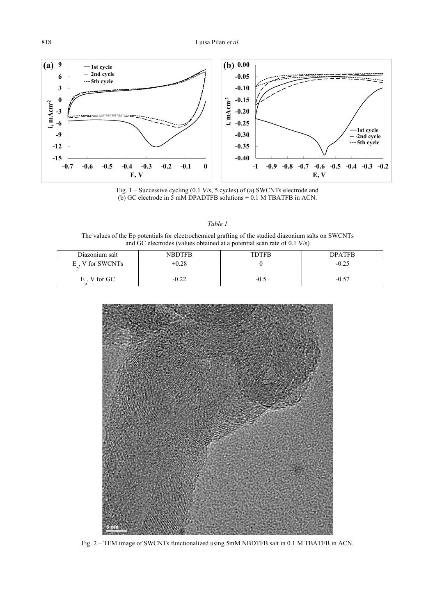

Fig. 1 – Successive cycling (0.1 V/s, 5 cycles) of (a) SWCNTs electrode and (b) GC electrode in 5 mM DPADTFB solutions + 0.1 M TBATFB in ACN.

*Table 1* 

The values of the Ep potentials for electrochemical grafting of the studied diazonium salts on SWCNTs and GC electrodes (values obtained at a potential scan rate of 0.1 V/s)

| Diazonium salt | NBDTFB  | TDTFB  | <b>DPATFR</b> |
|----------------|---------|--------|---------------|
| E.V for SWCNTs | $+0.28$ |        | $-0.25$       |
| E, V for GC    | $-0.22$ | $-0.5$ | $-0.57$       |



Fig. 2 – TEM image of SWCNTs functionalized using 5mM NBDTFB salt in 0.1 M TBATFB in ACN.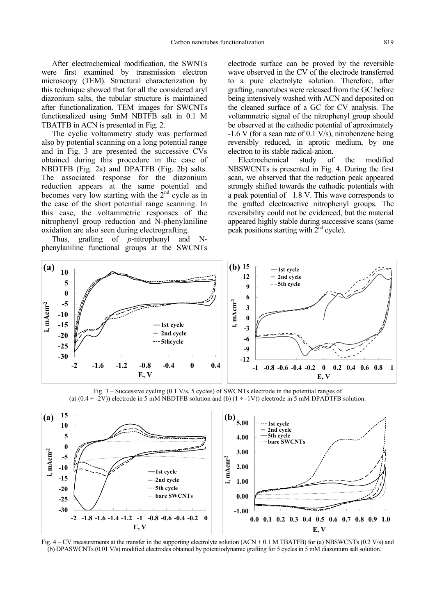After electrochemical modification, the SWNTs were first examined by transmission electron microscopy (TEM). Structural characterization by this technique showed that for all the considered aryl diazonium salts, the tubular structure is maintained after functionalization. TEM images for SWCNTs functionalized using 5mM NBTFB salt in 0.1 M TBATFB in ACN is presented in Fig. 2.

The cyclic voltammetry study was performed also by potential scanning on a long potential range and in Fig. 3 are presented the successive CVs obtained during this procedure in the case of NBDTFB (Fig. 2a) and DPATFB (Fig. 2b) salts. The associated response for the diazonium reduction appears at the same potential and becomes very low starting with the  $2<sup>nd</sup>$  cycle as in the case of the short potential range scanning. In this case, the voltammetric responses of the nitrophenyl group reduction and N-phenylaniline oxidation are also seen during electrografting.

Thus, grafting of *p*-nitrophenyl and Nphenylaniline functional groups at the SWCNTs electrode surface can be proved by the reversible wave observed in the CV of the electrode transferred to a pure electrolyte solution. Therefore, after grafting, nanotubes were released from the GC before being intensively washed with ACN and deposited on the cleaned surface of a GC for CV analysis. The voltammetric signal of the nitrophenyl group should be observed at the cathodic potential of aproximately -1.6 V (for a scan rate of 0.1 V/s), nitrobenzene being reversibly reduced, in aprotic medium, by one electron to its stable radical-anion.

Electrochemical study of the modified NBSWCNTs is presented in Fig. 4. During the first scan, we observed that the reduction peak appeared strongly shifted towards the cathodic potentials with a peak potential of −1*.*8 V. This wave corresponds to the grafted electroactive nitrophenyl groups. The reversibility could not be evidenced, but the material appeared highly stable during successive scans (same peak positions starting with  $2<sup>nd</sup>$  cycle).



Fig. 3 – Successive cycling (0.1 V/s, 5 cycles) of SWCNTs electrode in the potential ranges of (a)  $(0.4 \div 2V)$ ) electrode in 5 mM NBDTFB solution and (b)  $(1 \div 1V)$ ) electrode in 5 mM DPADTFB solution.



Fig. 4 – CV measurements at the transfer in the supporting electrolyte solution (ACN + 0.1 M TBATFB) for (a) NBSWCNTs (0.2 V/s) and (b) DPASWCNTs (0.01 V/s) modified electrodes obtained by potentiodynamic grafting for 5 cycles in 5 mM diazonium salt solution.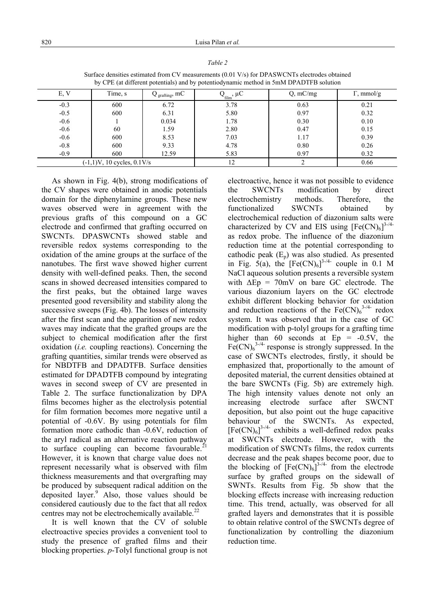| by CPE (at different potentials) and by potentiodynamic method in 5mM DPADTFB solution |         |                           |                                          |                          |                   |  |
|----------------------------------------------------------------------------------------|---------|---------------------------|------------------------------------------|--------------------------|-------------------|--|
| E, V                                                                                   | Time, s | $Q_{\text{grating}}$ , mC | $\prec_{\underline{\text{film}}}, \mu C$ | $Q, \text{m}C/\text{mg}$ | $\Gamma$ , mmol/g |  |
| $-0.3$                                                                                 | 600     | 6.72                      | 3.78                                     | 0.63                     | 0.21              |  |
| $-0.5$                                                                                 | 600     | 6.31                      | 5.80                                     | 0.97                     | 0.32              |  |
| $-0.6$                                                                                 |         | 0.034                     | 1.78                                     | 0.30                     | 0.10              |  |
| $-0.6$                                                                                 | 60      | 1.59                      | 2.80                                     | 0.47                     | 0.15              |  |
| $-0.6$                                                                                 | 600     | 8.53                      | 7.03                                     | 1.17                     | 0.39              |  |
| $-0.8$                                                                                 | 600     | 9.33                      | 4.78                                     | 0.80                     | 0.26              |  |
| $-0.9$                                                                                 | 600     | 12.59                     | 5.83                                     | 0.97                     | 0.32              |  |
| $(-1,1)V$ , 10 cycles, $0.1V/s$                                                        |         | 12                        |                                          | 0.66                     |                   |  |

*Table 2* 

Surface densities estimated from CV measurements (0.01 V/s) for DPASWCNTs electrodes obtained by CPE (at different potentials) and by potentiodynamic method in 5mM DPADTFB solution

As shown in Fig. 4(b), strong modifications of the CV shapes were obtained in anodic potentials domain for the diphenylamine groups. These new waves observed were in agreement with the previous grafts of this compound on a GC electrode and confirmed that grafting occurred on SWCNTs. DPASWCNTs showed stable and reversible redox systems corresponding to the oxidation of the amine groups at the surface of the nanotubes. The first wave showed higher current density with well-defined peaks. Then, the second scans in showed decreased intensities compared to the first peaks, but the obtained large waves presented good reversibility and stability along the successive sweeps (Fig. 4b). The losses of intensity after the first scan and the apparition of new redox waves may indicate that the grafted groups are the subject to chemical modification after the first oxidation (*i.e.* coupling reactions). Concerning the grafting quantities, similar trends were observed as for NBDTFB and DPADTFB. Surface densities estimated for DPADTFB compound by integrating waves in second sweep of CV are presented in Table 2. The surface functionalization by DPA films becomes higher as the electrolysis potential for film formation becomes more negative until a potential of -0.6V. By using potentials for film formation more cathodic than -0.6V, reduction of the aryl radical as an alternative reaction pathway to surface coupling can become favourable. $^{21}$ However, it is known that charge value does not represent necessarily what is observed with film thickness measurements and that overgrafting may be produced by subsequent radical addition on the deposited layer.<sup>9</sup> Also, those values should be considered cautiously due to the fact that all redox centres may not be electrochemically available. $^{22}$ 

It is well known that the CV of soluble electroactive species provides a convenient tool to study the presence of grafted films and their blocking properties. *p*-Tolyl functional group is not electroactive, hence it was not possible to evidence the SWCNTs modification by direct electrochemistry methods. Therefore, the functionalized SWCNTs obtained by electrochemical reduction of diazonium salts were characterized by CV and EIS using  $[Fe(CN)_6]^{3-/4-}$ as redox probe. The influence of the diazonium reduction time at the potential corresponding to cathodic peak  $(E_p)$  was also studied. As presented in Fig.  $5(a)$ , the  $[Fe(CN)_6]^{3-/4-}$  couple in 0.1 M NaCl aqueous solution presents a reversible system with  $\Delta Ep = 70mV$  on bare GC electrode. The various diazonium layers on the GC electrode exhibit different blocking behavior for oxidation and reduction reactions of the  $Fe(CN)_6^{3-/4-}$  redox system. It was observed that in the case of GC modification with p-tolyl groups for a grafting time higher than 60 seconds at  $Ep = -0.5V$ , the  $Fe(CN)_{6}^{3-4}$ - response is strongly suppressed. In the case of SWCNTs electrodes, firstly, it should be emphasized that, proportionally to the amount of deposited material, the current densities obtained at the bare SWCNTs (Fig. 5b) are extremely high. The high intensity values denote not only an increasing electrode surface after SWCNT deposition, but also point out the huge capacitive behaviour of the SWCNTs. As expected,  $[Fe(CN)<sub>6</sub>]$ <sup>3-/4-</sup> exhibits a well-defined redox peaks at SWCNTs electrode. However, with the modification of SWCNTs films, the redox currents decrease and the peak shapes become poor, due to the blocking of  $[Fe(CN)_6]^{3-/4-}$  from the electrode surface by grafted groups on the sidewall of SWNTs. Results from Fig. 5b show that the blocking effects increase with increasing reduction time. This trend, actually, was observed for all grafted layers and demonstrates that it is possible to obtain relative control of the SWCNTs degree of functionalization by controlling the diazonium reduction time.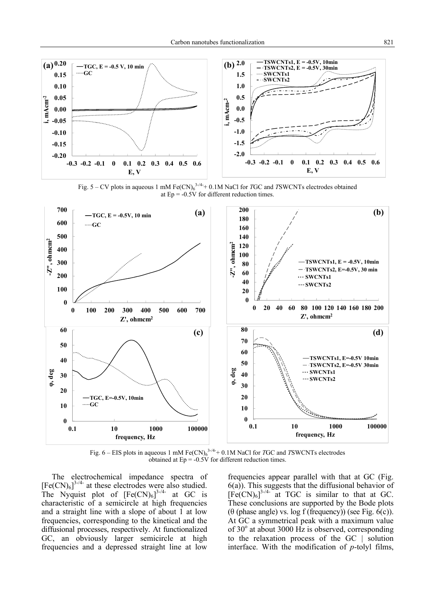

Fig. 5 – CV plots in aqueous 1 mM Fe(CN)<sub>6</sub><sup>3,4</sup>+ 0.1M NaCl for *TGC* and *TSWCNTs* electrodes obtained at Ep = -0.5V for different reduction times.



Fig. 6 – EIS plots in aqueous 1 mM Fe(CN)<sub>6</sub><sup>3-/4</sup> + 0.1M NaCl for *T*GC and *TSWCNTs* electrodes obtained at  $Ep = -0.5V$  for different reduction times.

The electrochemical impedance spectra of  $[Fe(CN)<sub>6</sub>]$ <sup>3-/4-</sup> at these electrodes were also studied. The Nyquist plot of  $[Fe(CN)_6]^{3-/4-}$  at GC is characteristic of a semicircle at high frequencies and a straight line with a slope of about 1 at low frequencies, corresponding to the kinetical and the diffusional processes, respectively. At functionalized GC, an obviously larger semicircle at high frequencies and a depressed straight line at low

frequencies appear parallel with that at GC (Fig. 6(a)). This suggests that the diffusional behavior of  $[Fe(CN)_6]$ <sup>3-/4-</sup> at TGC is similar to that at GC. These conclusions are supported by the Bode plots (θ (phase angle) vs. log f (frequency)) (see Fig.  $6(c)$ ). At GC a symmetrical peak with a maximum value of  $30^{\circ}$  at about 3000 Hz is observed, corresponding to the relaxation process of the GC | solution interface. With the modification of *p*-tolyl films,